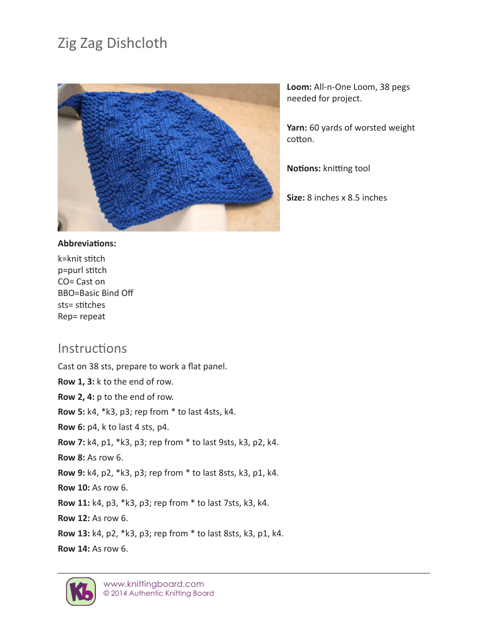## Zig Zag Dishcloth



**Loom:** All-n-One Loom, 38 pegs needed for project.

**Yarn:** 60 yards of worsted weight cotton.

**Notions:** knitting tool

**Size:** 8 inches x 8.5 inches

## **Abbreviations:**

k=knit stitch p=purl stitch CO= Cast on BBO=Basic Bind Off sts= stitches Rep= repeat

## Instructions

Cast on 38 sts, prepare to work a flat panel. **Row 1, 3:** k to the end of row. **Row 2, 4:** p to the end of row. **Row 5:** k4, \*k3, p3; rep from \* to last 4sts, k4. **Row 6:** p4, k to last 4 sts, p4. **Row 7:** k4, p1, \*k3, p3; rep from \* to last 9sts, k3, p2, k4. **Row 8:** As row 6. **Row 9:** k4, p2, \*k3, p3; rep from \* to last 8sts, k3, p1, k4. **Row 10:** As row 6. **Row 11:** k4, p3, \*k3, p3; rep from \* to last 7sts, k3, k4. **Row 12:** As row 6. **Row 13:** k4, p2, \*k3, p3; rep from \* to last 8sts, k3, p1, k4. **Row 14:** As row 6.